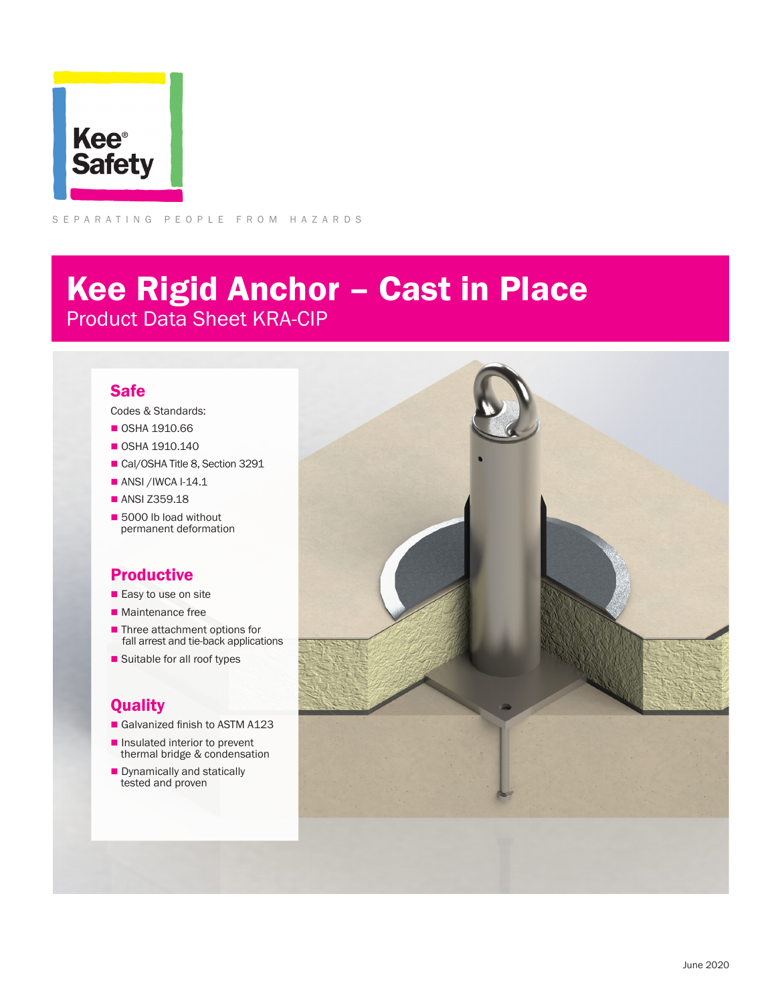

SEPARATING PEOPLE FROM HAZARDS

# Kee Rigid Anchor – Cast in Place Product Data Sheet KRA-CIP

#### Safe

Codes & Standards:

- **0SHA 1910.66**
- $\blacksquare$  OSHA 1910.140
- Cal/OSHA Title 8, Section 3291
- $\blacksquare$  ANSI /IWCA I-14.1
- ANSI Z359.18
- 5000 lb load without permanent deformation

### Productive

- $\blacksquare$  Easy to use on site
- $\blacksquare$  Maintenance free
- Three attachment options for fall arrest and tie-back applications
- Suitable for all roof types

### **Quality**

- Galvanized finish to ASTM A123
- $\blacksquare$  Insulated interior to prevent thermal bridge & condensation
- **n** Dynamically and statically tested and proven